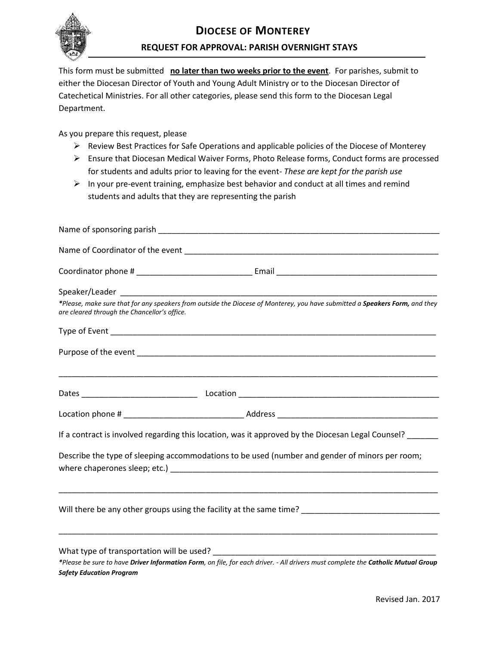

This form must be submitted **no later than two weeks prior to the event**. For parishes, submit to either the Diocesan Director of Youth and Young Adult Ministry or to the Diocesan Director of Catechetical Ministries. For all other categories, please send this form to the Diocesan Legal Department.

As you prepare this request, please

- ➢ Review Best Practices for Safe Operations and applicable policies of the Diocese of Monterey
- ➢ Ensure that Diocesan Medical Waiver Forms, Photo Release forms, Conduct forms are processed for students and adults prior to leaving for the event- *These are kept for the parish use*
- ➢ In your pre-event training, emphasize best behavior and conduct at all times and remind students and adults that they are representing the parish

| are cleared through the Chancellor's office. | *Please, make sure that for any speakers from outside the Diocese of Monterey, you have submitted a Speakers Form, and they                                         |
|----------------------------------------------|---------------------------------------------------------------------------------------------------------------------------------------------------------------------|
|                                              |                                                                                                                                                                     |
|                                              |                                                                                                                                                                     |
|                                              |                                                                                                                                                                     |
|                                              |                                                                                                                                                                     |
|                                              | If a contract is involved regarding this location, was it approved by the Diocesan Legal Counsel? _____                                                             |
|                                              | Describe the type of sleeping accommodations to be used (number and gender of minors per room;                                                                      |
|                                              | <u> 1989 - Johann Stoff, amerikansk politiker (d. 1989)</u><br>Will there be any other groups using the facility at the same time? ________________________________ |
|                                              |                                                                                                                                                                     |
| <b>Safety Education Program</b>              | *Please be sure to have Driver Information Form, on file, for each driver. - All drivers must complete the Catholic Mutual Group                                    |